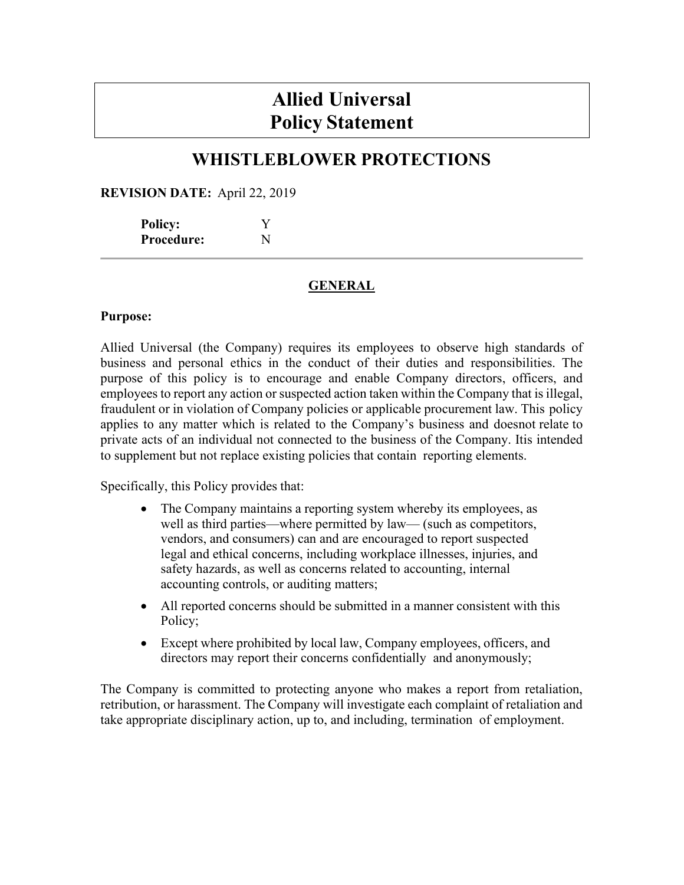# **Allied Universal Policy Statement**

# **WHISTLEBLOWER PROTECTIONS**

**REVISION DATE:** April 22, 2019

| <b>Policy:</b>    | Y |
|-------------------|---|
| <b>Procedure:</b> | N |

# **GENERAL**

#### **Purpose:**

Allied Universal (the Company) requires its employees to observe high standards of business and personal ethics in the conduct of their duties and responsibilities. The purpose of this policy is to encourage and enable Company directors, officers, and employees to report any action or suspected action taken within the Company that is illegal, fraudulent or in violation of Company policies or applicable procurement law. This policy applies to any matter which is related to the Company's business and doesnot relate to private acts of an individual not connected to the business of the Company. Itis intended to supplement but not replace existing policies that contain reporting elements.

Specifically, this Policy provides that:

- The Company maintains a reporting system whereby its employees, as well as third parties—where permitted by law— (such as competitors, vendors, and consumers) can and are encouraged to report suspected legal and ethical concerns, including workplace illnesses, injuries, and safety hazards, as well as concerns related to accounting, internal accounting controls, or auditing matters;
- All reported concerns should be submitted in a manner consistent with this Policy;
- Except where prohibited by local law, Company employees, officers, and directors may report their concerns confidentially and anonymously;

The Company is committed to protecting anyone who makes a report from retaliation, retribution, or harassment. The Company will investigate each complaint of retaliation and take appropriate disciplinary action, up to, and including, termination of employment.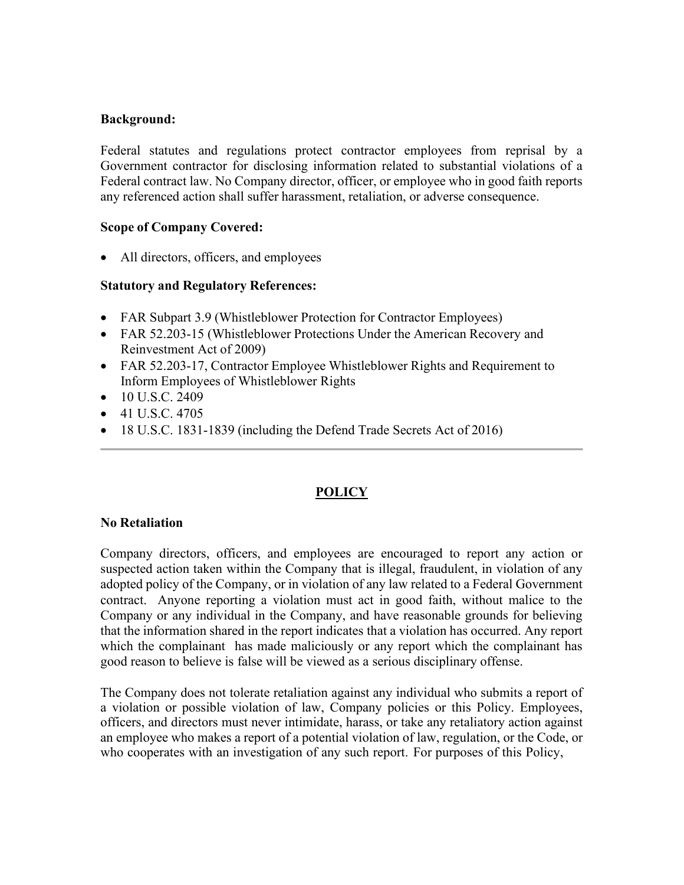#### **Background:**

Federal statutes and regulations protect contractor employees from reprisal by a Government contractor for disclosing information related to substantial violations of a Federal contract law. No Company director, officer, or employee who in good faith reports any referenced action shall suffer harassment, retaliation, or adverse consequence.

#### **Scope of Company Covered:**

• All directors, officers, and employees

#### **Statutory and Regulatory References:**

- FAR Subpart 3.9 (Whistleblower Protection for Contractor Employees)
- FAR 52.203-15 (Whistleblower Protections Under the American Recovery and Reinvestment Act of 2009)
- FAR 52.203-17, Contractor Employee Whistleblower Rights and Requirement to Inform Employees of Whistleblower Rights
- $\bullet$  10 U.S.C. 2409
- $\bullet$  41 U.S.C. 4705
- 18 U.S.C. 1831-1839 (including the Defend Trade Secrets Act of 2016)

# **POLICY**

#### **No Retaliation**

Company directors, officers, and employees are encouraged to report any action or suspected action taken within the Company that is illegal, fraudulent, in violation of any adopted policy of the Company, or in violation of any law related to a Federal Government contract. Anyone reporting a violation must act in good faith, without malice to the Company or any individual in the Company, and have reasonable grounds for believing that the information shared in the report indicates that a violation has occurred. Any report which the complainant has made maliciously or any report which the complainant has good reason to believe is false will be viewed as a serious disciplinary offense.

The Company does not tolerate retaliation against any individual who submits a report of a violation or possible violation of law, Company policies or this Policy. Employees, officers, and directors must never intimidate, harass, or take any retaliatory action against an employee who makes a report of a potential violation of law, regulation, or the Code, or who cooperates with an investigation of any such report. For purposes of this Policy,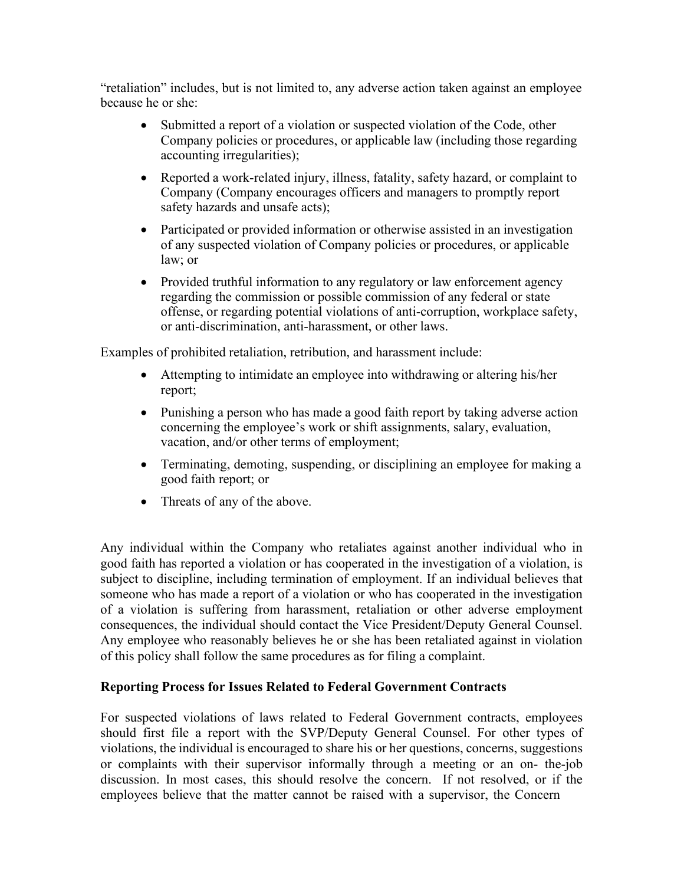"retaliation" includes, but is not limited to, any adverse action taken against an employee because he or she:

- Submitted a report of a violation or suspected violation of the Code, other Company policies or procedures, or applicable law (including those regarding accounting irregularities);
- Reported a work-related injury, illness, fatality, safety hazard, or complaint to Company (Company encourages officers and managers to promptly report safety hazards and unsafe acts);
- Participated or provided information or otherwise assisted in an investigation of any suspected violation of Company policies or procedures, or applicable law; or
- Provided truthful information to any regulatory or law enforcement agency regarding the commission or possible commission of any federal or state offense, or regarding potential violations of anti-corruption, workplace safety, or anti-discrimination, anti-harassment, or other laws.

Examples of prohibited retaliation, retribution, and harassment include:

- Attempting to intimidate an employee into withdrawing or altering his/her report;
- Punishing a person who has made a good faith report by taking adverse action concerning the employee's work or shift assignments, salary, evaluation, vacation, and/or other terms of employment;
- Terminating, demoting, suspending, or disciplining an employee for making a good faith report; or
- Threats of any of the above.

Any individual within the Company who retaliates against another individual who in good faith has reported a violation or has cooperated in the investigation of a violation, is subject to discipline, including termination of employment. If an individual believes that someone who has made a report of a violation or who has cooperated in the investigation of a violation is suffering from harassment, retaliation or other adverse employment consequences, the individual should contact the Vice President/Deputy General Counsel. Any employee who reasonably believes he or she has been retaliated against in violation of this policy shall follow the same procedures as for filing a complaint.

# **Reporting Process for Issues Related to Federal Government Contracts**

For suspected violations of laws related to Federal Government contracts, employees should first file a report with the SVP/Deputy General Counsel. For other types of violations, the individual is encouraged to share his or her questions, concerns, suggestions or complaints with their supervisor informally through a meeting or an on- the-job discussion. In most cases, this should resolve the concern. If not resolved, or if the employees believe that the matter cannot be raised with a supervisor, the Concern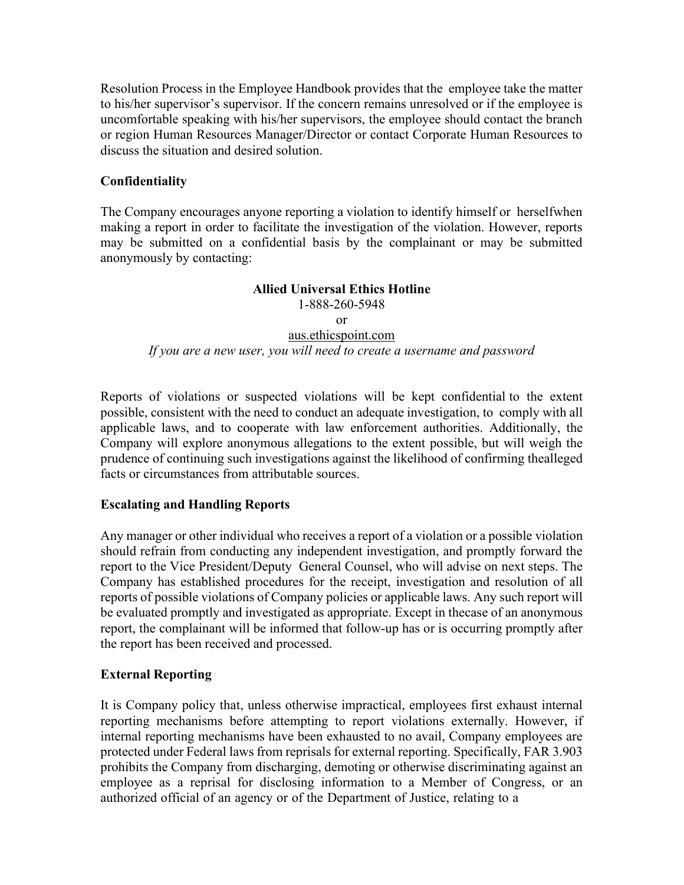Resolution Process in the Employee Handbook provides that the employee take the matter to his/her supervisor's supervisor. If the concern remains unresolved or if the employee is uncomfortable speaking with his/her supervisors, the employee should contact the branch or region Human Resources Manager/Director or contact Corporate Human Resources to discuss the situation and desired solution.

# **Confidentiality**

The Company encourages anyone reporting a violation to identify himself or herselfwhen making a report in order to facilitate the investigation of the violation. However, reports may be submitted on a confidential basis by the complainant or may be submitted anonymously by contacting:

#### **Allied Universal Ethics Hotline** 1-888-260-5948 or aus.ethicspoint.com *If you are a new user, you will need to create a username and password*

Reports of violations or suspected violations will be kept confidential to the extent possible, consistent with the need to conduct an adequate investigation, to comply with all applicable laws, and to cooperate with law enforcement authorities. Additionally, the Company will explore anonymous allegations to the extent possible, but will weigh the prudence of continuing such investigations against the likelihood of confirming thealleged facts or circumstances from attributable sources.

# **Escalating and Handling Reports**

Any manager or other individual who receives a report of a violation or a possible violation should refrain from conducting any independent investigation, and promptly forward the report to the Vice President/Deputy General Counsel, who will advise on next steps. The Company has established procedures for the receipt, investigation and resolution of all reports of possible violations of Company policies or applicable laws. Any such report will be evaluated promptly and investigated as appropriate. Except in thecase of an anonymous report, the complainant will be informed that follow-up has or is occurring promptly after the report has been received and processed.

# **External Reporting**

It is Company policy that, unless otherwise impractical, employees first exhaust internal reporting mechanisms before attempting to report violations externally. However, if internal reporting mechanisms have been exhausted to no avail, Company employees are protected under Federal laws from reprisals for external reporting. Specifically, FAR 3.903 prohibits the Company from discharging, demoting or otherwise discriminating against an employee as a reprisal for disclosing information to a Member of Congress, or an authorized official of an agency or of the Department of Justice, relating to a